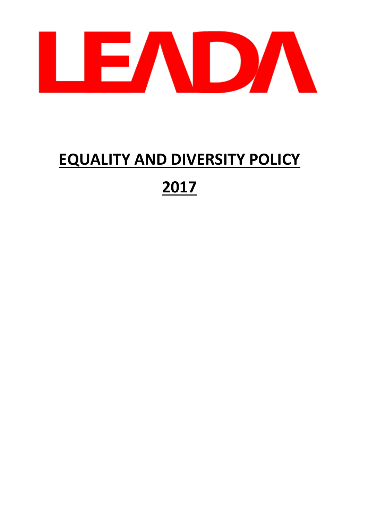

# **EQUALITY AND DIVERSITY POLICY**

# **2017**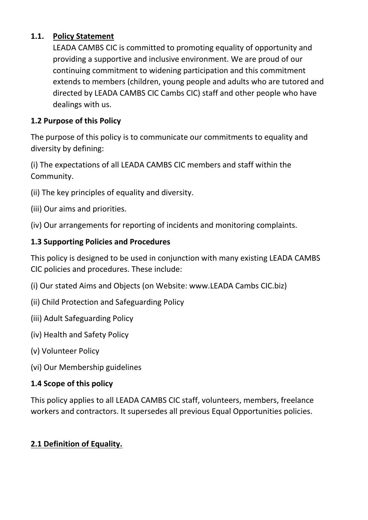# **1.1. Policy Statement**

LEADA CAMBS CIC is committed to promoting equality of opportunity and providing a supportive and inclusive environment. We are proud of our continuing commitment to widening participation and this commitment extends to members (children, young people and adults who are tutored and directed by LEADA CAMBS CIC Cambs CIC) staff and other people who have dealings with us.

#### **1.2 Purpose of this Policy**

The purpose of this policy is to communicate our commitments to equality and diversity by defining:

(i) The expectations of all LEADA CAMBS CIC members and staff within the Community.

- (ii) The key principles of equality and diversity.
- (iii) Our aims and priorities.

(iv) Our arrangements for reporting of incidents and monitoring complaints.

#### **1.3 Supporting Policies and Procedures**

This policy is designed to be used in conjunction with many existing LEADA CAMBS CIC policies and procedures. These include:

- (i) Our stated Aims and Objects (on Website: www.LEADA Cambs CIC.biz)
- (ii) Child Protection and Safeguarding Policy
- (iii) Adult Safeguarding Policy
- (iv) Health and Safety Policy
- (v) Volunteer Policy
- (vi) Our Membership guidelines

#### **1.4 Scope of this policy**

This policy applies to all LEADA CAMBS CIC staff, volunteers, members, freelance workers and contractors. It supersedes all previous Equal Opportunities policies.

#### **2.1 Definition of Equality.**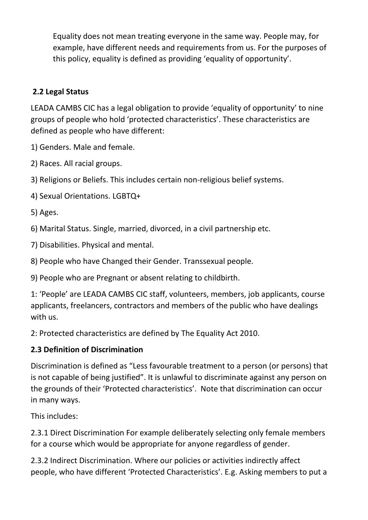Equality does not mean treating everyone in the same way. People may, for example, have different needs and requirements from us. For the purposes of this policy, equality is defined as providing 'equality of opportunity'.

# **2.2 Legal Status**

LEADA CAMBS CIC has a legal obligation to provide 'equality of opportunity' to nine groups of people who hold 'protected characteristics'. These characteristics are defined as people who have different:

1) Genders. Male and female.

2) Races. All racial groups.

3) Religions or Beliefs. This includes certain non-religious belief systems.

4) Sexual Orientations. LGBTQ+

5) Ages.

6) Marital Status. Single, married, divorced, in a civil partnership etc.

7) Disabilities. Physical and mental.

8) People who have Changed their Gender. Transsexual people.

9) People who are Pregnant or absent relating to childbirth.

1: 'People' are LEADA CAMBS CIC staff, volunteers, members, job applicants, course applicants, freelancers, contractors and members of the public who have dealings with us.

2: Protected characteristics are defined by The Equality Act 2010.

# **2.3 Definition of Discrimination**

Discrimination is defined as "Less favourable treatment to a person (or persons) that is not capable of being justified". It is unlawful to discriminate against any person on the grounds of their 'Protected characteristics'. Note that discrimination can occur in many ways.

This includes:

2.3.1 Direct Discrimination For example deliberately selecting only female members for a course which would be appropriate for anyone regardless of gender.

2.3.2 Indirect Discrimination. Where our policies or activities indirectly affect people, who have different 'Protected Characteristics'. E.g. Asking members to put a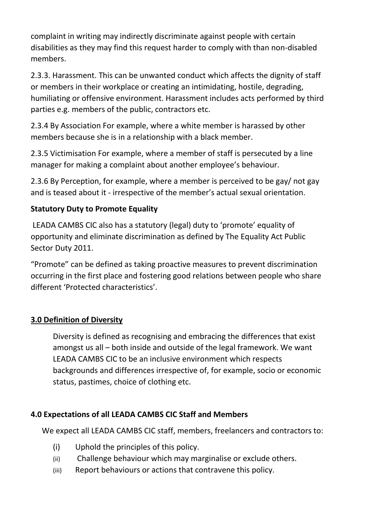complaint in writing may indirectly discriminate against people with certain disabilities as they may find this request harder to comply with than non-disabled members.

2.3.3. Harassment. This can be unwanted conduct which affects the dignity of staff or members in their workplace or creating an intimidating, hostile, degrading, humiliating or offensive environment. Harassment includes acts performed by third parties e.g. members of the public, contractors etc.

2.3.4 By Association For example, where a white member is harassed by other members because she is in a relationship with a black member.

2.3.5 Victimisation For example, where a member of staff is persecuted by a line manager for making a complaint about another employee's behaviour.

2.3.6 By Perception, for example, where a member is perceived to be gay/ not gay and is teased about it - irrespective of the member's actual sexual orientation.

# **Statutory Duty to Promote Equality**

LEADA CAMBS CIC also has a statutory (legal) duty to 'promote' equality of opportunity and eliminate discrimination as defined by The Equality Act Public Sector Duty 2011.

"Promote" can be defined as taking proactive measures to prevent discrimination occurring in the first place and fostering good relations between people who share different 'Protected characteristics'.

#### **3.0 Definition of Diversity**

Diversity is defined as recognising and embracing the differences that exist amongst us all – both inside and outside of the legal framework. We want LEADA CAMBS CIC to be an inclusive environment which respects backgrounds and differences irrespective of, for example, socio or economic status, pastimes, choice of clothing etc.

#### **4.0 Expectations of all LEADA CAMBS CIC Staff and Members**

We expect all LEADA CAMBS CIC staff, members, freelancers and contractors to:

- (i) Uphold the principles of this policy.
- (ii) Challenge behaviour which may marginalise or exclude others.
- (iii) Report behaviours or actions that contravene this policy.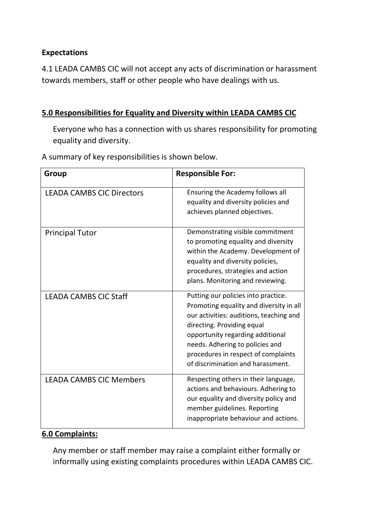#### **Expectations**

4.1 LEADA CAMBS CIC will not accept any acts of discrimination or harassment towards members, staff or other people who have dealings with us.

#### **5.0 Responsibilities for Equality and Diversity within LEADA CAMBS CIC**

Everyone who has a connection with us shares responsibility for promoting equality and diversity.

A summary of key responsibilities is shown below.

| Group                            | <b>Responsible For:</b>                                                                                                                                                                                                                                                                                    |
|----------------------------------|------------------------------------------------------------------------------------------------------------------------------------------------------------------------------------------------------------------------------------------------------------------------------------------------------------|
| <b>LEADA CAMBS CIC Directors</b> | Ensuring the Academy follows all<br>equality and diversity policies and<br>achieves planned objectives.                                                                                                                                                                                                    |
| <b>Principal Tutor</b>           | Demonstrating visible commitment<br>to promoting equality and diversity<br>within the Academy. Development of<br>equality and diversity policies,<br>procedures, strategies and action<br>plans. Monitoring and reviewing.                                                                                 |
| <b>LEADA CAMBS CIC Staff</b>     | Putting our policies into practice.<br>Promoting equality and diversity in all<br>our activities: auditions, teaching and<br>directing. Providing equal<br>opportunity regarding additional<br>needs. Adhering to policies and<br>procedures in respect of complaints<br>of discrimination and harassment. |
| <b>LEADA CAMBS CIC Members</b>   | Respecting others in their language,<br>actions and behaviours. Adhering to<br>our equality and diversity policy and<br>member guidelines. Reporting<br>inappropriate behaviour and actions.                                                                                                               |

#### **6.0 Complaints:**

Any member or staff member may raise a complaint either formally or informally using existing complaints procedures within LEADA CAMBS CIC.